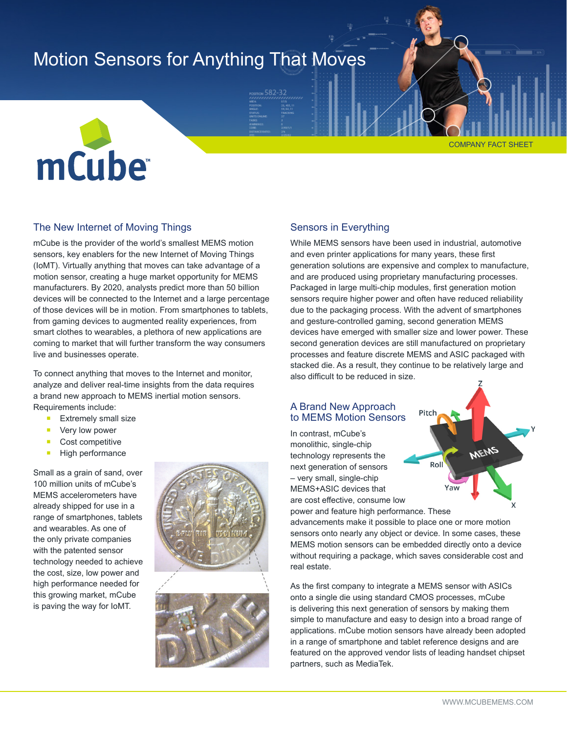# Motion Sensors for Anything That Moves





# The New Internet of Moving Things

mCube is the provider of the world's smallest MEMS motion sensors, key enablers for the new Internet of Moving Things (IoMT). Virtually anything that moves can take advantage of a motion sensor, creating a huge market opportunity for MEMS manufacturers. By 2020, analysts predict more than 50 billion devices will be connected to the Internet and a large percentage of those devices will be in motion. From smartphones to tablets, from gaming devices to augmented reality experiences, from smart clothes to wearables, a plethora of new applications are coming to market that will further transform the way consumers live and businesses operate.

To connect anything that moves to the Internet and monitor, analyze and deliver real-time insights from the data requires a brand new approach to MEMS inertial motion sensors. Requirements include:

- Extremely small size
- Very low power
- Cost competitive
- High performance

Small as a grain of sand, over 100 million units of mCube's MEMS accelerometers have already shipped for use in a range of smartphones, tablets and wearables. As one of the only private companies with the patented sensor technology needed to achieve the cost, size, low power and high performance needed for this growing market, mCube is paving the way for IoMT.



# Sensors in Everything

While MEMS sensors have been used in industrial, automotive and even printer applications for many years, these first generation solutions are expensive and complex to manufacture, and are produced using proprietary manufacturing processes. Packaged in large multi-chip modules, first generation motion sensors require higher power and often have reduced reliability due to the packaging process. With the advent of smartphones and gesture-controlled gaming, second generation MEMS devices have emerged with smaller size and lower power. These second generation devices are still manufactured on proprietary processes and feature discrete MEMS and ASIC packaged with stacked die. As a result, they continue to be relatively large and also difficult to be reduced in size.

# A Brand New Approach to MEMS Motion Sensors

In contrast, mCube's monolithic, single-chip technology represents the next generation of sensors – very small, single-chip MEMS+ASIC devices that are cost effective, consume low power and feature high performance. These



advancements make it possible to place one or more motion sensors onto nearly any object or device. In some cases, these MEMS motion sensors can be embedded directly onto a device without requiring a package, which saves considerable cost and real estate.

As the first company to integrate a MEMS sensor with ASICs onto a single die using standard CMOS processes, mCube is delivering this next generation of sensors by making them simple to manufacture and easy to design into a broad range of applications. mCube motion sensors have already been adopted in a range of smartphone and tablet reference designs and are featured on the approved vendor lists of leading handset chipset partners, such as MediaTek.